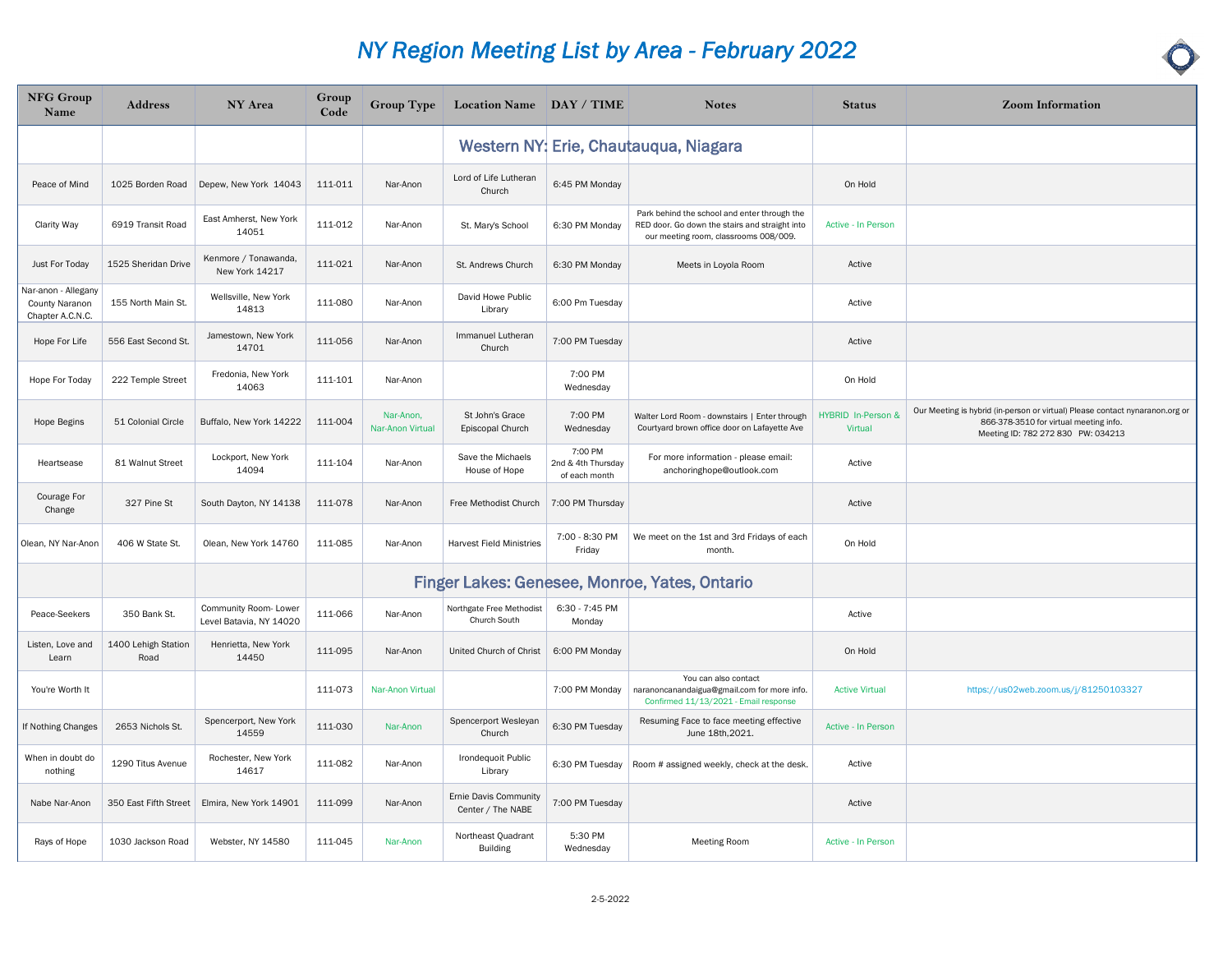| <b>NFG Group</b><br>Name                                  | <b>Address</b>              | NY Area                                          | Group<br>Code | $Group$ Type                  | Location Name DAY / TIME                   |                                                | <b>Notes</b>                                                                                                                            | <b>Status</b>                        | <b>Zoom Information</b>                                                                                                                                      |
|-----------------------------------------------------------|-----------------------------|--------------------------------------------------|---------------|-------------------------------|--------------------------------------------|------------------------------------------------|-----------------------------------------------------------------------------------------------------------------------------------------|--------------------------------------|--------------------------------------------------------------------------------------------------------------------------------------------------------------|
|                                                           |                             |                                                  |               |                               |                                            |                                                | Western NY: Erie, Chautauqua, Niagara                                                                                                   |                                      |                                                                                                                                                              |
| Peace of Mind                                             | 1025 Borden Road            | Depew, New York 14043                            | 111-011       | Nar-Anon                      | Lord of Life Lutheran<br>Church            | 6:45 PM Monday                                 |                                                                                                                                         | On Hold                              |                                                                                                                                                              |
| <b>Clarity Way</b>                                        | 6919 Transit Road           | East Amherst, New York<br>14051                  | 111-012       | Nar-Anon                      | St. Mary's School                          | 6:30 PM Monday                                 | Park behind the school and enter through the<br>RED door. Go down the stairs and straight into<br>our meeting room, classrooms 008/009. | Active - In Person                   |                                                                                                                                                              |
| Just For Today                                            | 1525 Sheridan Drive         | Kenmore / Tonawanda,<br>New York 14217           | 111-021       | Nar-Anon                      | St. Andrews Church                         | 6:30 PM Monday                                 | Meets in Loyola Room                                                                                                                    | Active                               |                                                                                                                                                              |
| Var-anon - Allegany<br>County Naranon<br>Chapter A.C.N.C. | 155 North Main St.          | Wellsville, New York<br>14813                    | 111-080       | Nar-Anon                      | David Howe Public<br>Library               | 6:00 Pm Tuesday                                |                                                                                                                                         | Active                               |                                                                                                                                                              |
| Hope For Life                                             | 556 East Second St.         | Jamestown, New York<br>14701                     | 111-056       | Nar-Anon                      | Immanuel Lutheran<br>Church                | 7:00 PM Tuesday                                |                                                                                                                                         | Active                               |                                                                                                                                                              |
| Hope For Today                                            | 222 Temple Street           | Fredonia, New York<br>14063                      | 111-101       | Nar-Anon                      |                                            | 7:00 PM<br>Wednesday                           |                                                                                                                                         | On Hold                              |                                                                                                                                                              |
| <b>Hope Begins</b>                                        | 51 Colonial Circle          | Buffalo, New York 14222                          | 111-004       | Nar-Anon,<br>Nar-Anon Virtual | St John's Grace<br>Episcopal Church        | 7:00 PM<br>Wednesday                           | Walter Lord Room - downstairs   Enter through<br>Courtyard brown office door on Lafayette Ave                                           | HYBRID In-Person &<br><b>Virtual</b> | Our Meeting is hybrid (in-person or virtual) Please contact nynaranon.org or<br>866-378-3510 for virtual meeting info.<br>Meeting ID: 782 272 830 PW: 034213 |
| Heartsease                                                | 81 Walnut Street            | Lockport, New York<br>14094                      | 111-104       | Nar-Anon                      | Save the Michaels<br>House of Hope         | 7:00 PM<br>2nd & 4th Thursday<br>of each month | For more information - please email:<br>anchoringhope@outlook.com                                                                       | Active                               |                                                                                                                                                              |
| Courage For<br>Change                                     | 327 Pine St                 | South Dayton, NY 14138                           | 111-078       | Nar-Anon                      | Free Methodist Church                      | 7:00 PM Thursday                               |                                                                                                                                         | Active                               |                                                                                                                                                              |
| Olean, NY Nar-Anon                                        | 406 W State St.             | Olean, New York 14760                            | 111-085       | Nar-Anon                      | <b>Harvest Field Ministries</b>            | 7:00 - 8:30 PM<br>Friday                       | We meet on the 1st and 3rd Fridays of each<br>month.                                                                                    | On Hold                              |                                                                                                                                                              |
|                                                           |                             |                                                  |               |                               |                                            |                                                | Finger Lakes: Genesee, Monroe, Yates, Ontario                                                                                           |                                      |                                                                                                                                                              |
| Peace-Seekers                                             | 350 Bank St.                | Community Room- Lower<br>Level Batavia, NY 14020 | 111-066       | Nar-Anon                      | Northgate Free Methodist<br>Church South   | 6:30 - 7:45 PM<br>Monday                       |                                                                                                                                         | Active                               |                                                                                                                                                              |
| Listen, Love and<br>Learn                                 | 1400 Lehigh Station<br>Road | Henrietta, New York<br>14450                     | 111-095       | Nar-Anon                      | United Church of Christ                    | 6:00 PM Monday                                 |                                                                                                                                         | On Hold                              |                                                                                                                                                              |
| You're Worth It                                           |                             |                                                  | 111-073       | Nar-Anon Virtual              |                                            | 7:00 PM Monday                                 | You can also contact<br>naranoncanandaigua@gmail.com for more info.<br>Confirmed 11/13/2021 - Email response                            | <b>Active Virtual</b>                | https://us02web.zoom.us/j/81250103327                                                                                                                        |
| If Nothing Changes                                        | 2653 Nichols St.            | Spencerport, New York<br>14559                   | 111-030       | Nar-Anon                      | Spencerport Wesleyan<br>Church             | 6:30 PM Tuesday                                | Resuming Face to face meeting effective<br>June 18th, 2021.                                                                             | Active - In Person                   |                                                                                                                                                              |
| When in doubt do<br>nothing                               | 1290 Titus Avenue           | Rochester, New York<br>14617                     | 111-082       | Nar-Anon                      | Irondequoit Public<br>Library              | 6:30 PM Tuesday                                | Room # assigned weekly, check at the desk.                                                                                              | Active                               |                                                                                                                                                              |
| Nabe Nar-Anon                                             | 350 East Fifth Street       | Elmira, New York 14901                           | 111-099       | Nar-Anon                      | Ernie Davis Community<br>Center / The NABE | 7:00 PM Tuesday                                |                                                                                                                                         | Active                               |                                                                                                                                                              |
| Rays of Hope                                              | 1030 Jackson Road           | Webster, NY 14580                                | 111-045       | Nar-Anon                      | Northeast Quadrant<br><b>Building</b>      | 5:30 PM<br>Wednesday                           | Meeting Room                                                                                                                            | Active - In Person                   |                                                                                                                                                              |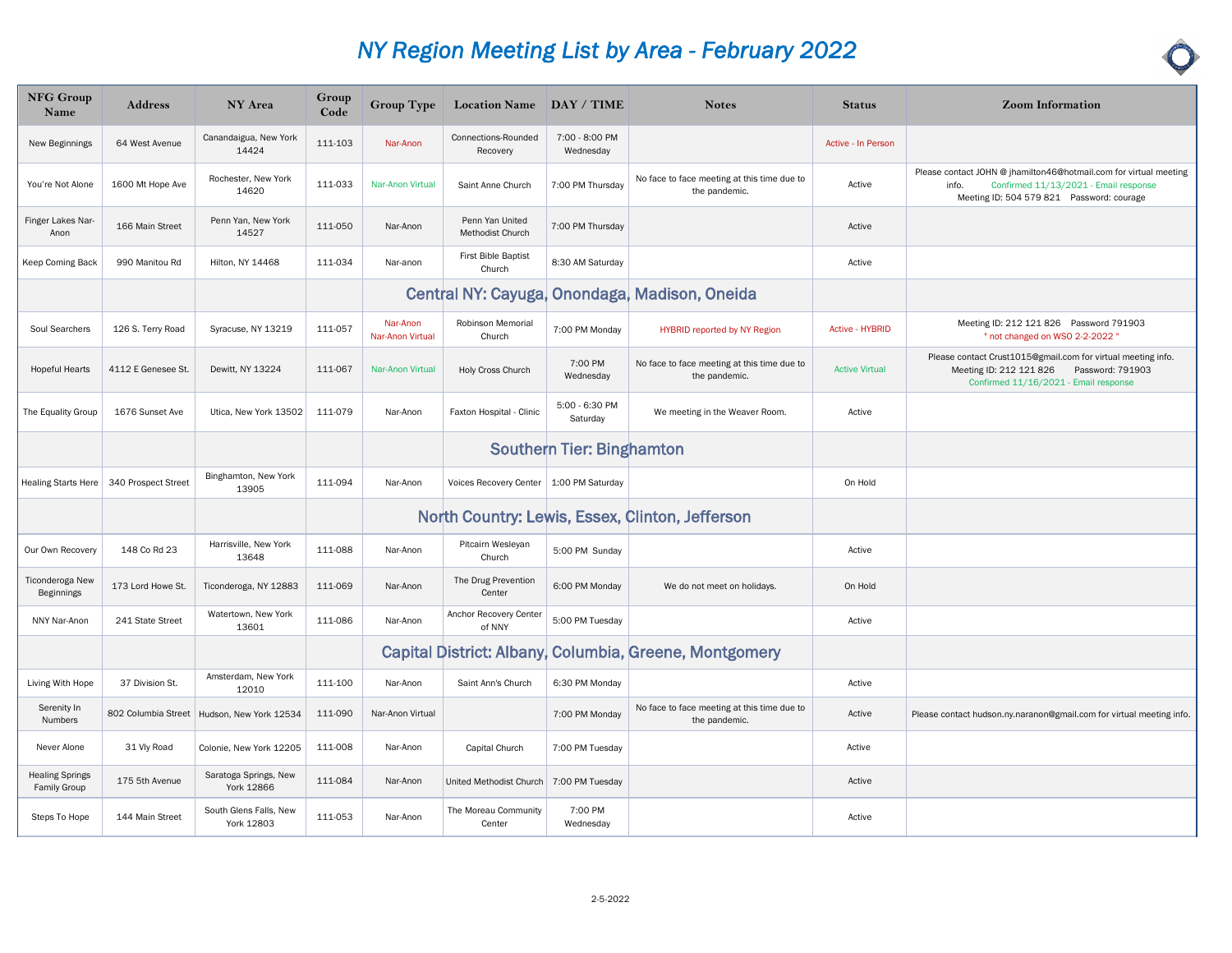| <b>NFG Group</b><br>Name               | <b>Address</b>      | NY Area                              | Group<br>Code | <b>Group Type</b>            | Location Name DAY / TIME                  |                             | <b>Notes</b>                                                 | <b>Status</b>          | <b>Zoom Information</b>                                                                                                                                          |
|----------------------------------------|---------------------|--------------------------------------|---------------|------------------------------|-------------------------------------------|-----------------------------|--------------------------------------------------------------|------------------------|------------------------------------------------------------------------------------------------------------------------------------------------------------------|
| New Beginnings                         | 64 West Avenue      | Canandaigua, New York<br>14424       | 111-103       | Nar-Anon                     | Connections-Rounded<br>Recovery           | 7:00 - 8:00 PM<br>Wednesday |                                                              | Active - In Person     |                                                                                                                                                                  |
| You're Not Alone                       | 1600 Mt Hope Ave    | Rochester, New York<br>14620         | 111-033       | Nar-Anon Virtual             | Saint Anne Church                         | 7:00 PM Thursday            | No face to face meeting at this time due to<br>the pandemic. | Active                 | Please contact JOHN @ jhamilton46@hotmail.com for virtual meeting<br>Confirmed 11/13/2021 - Email response<br>info.<br>Meeting ID: 504 579 821 Password: courage |
| Finger Lakes Nar-<br>Anon              | 166 Main Street     | Penn Yan, New York<br>14527          | 111-050       | Nar-Anon                     | Penn Yan United<br>Methodist Church       | 7:00 PM Thursday            |                                                              | Active                 |                                                                                                                                                                  |
| Keep Coming Back                       | 990 Manitou Rd      | Hilton, NY 14468                     | 111-034       | Nar-anon                     | First Bible Baptist<br>Church             | 8:30 AM Saturday            |                                                              | Active                 |                                                                                                                                                                  |
|                                        |                     |                                      |               |                              |                                           |                             | Central NY: Cayuga, Onondaga, Madison, Oneida                |                        |                                                                                                                                                                  |
| Soul Searchers                         | 126 S. Terry Road   | Syracuse, NY 13219                   | 111-057       | Nar-Anon<br>Nar-Anon Virtual | Robinson Memorial<br>Church               | 7:00 PM Monday              | <b>HYBRID reported by NY Region</b>                          | <b>Active - HYBRID</b> | Meeting ID: 212 121 826 Password 791903<br>" not changed on WSO 2-2-2022 "                                                                                       |
| <b>Hopeful Hearts</b>                  | 4112 E Genesee St.  | Dewitt, NY 13224                     | 111-067       | <b>Nar-Anon Virtual</b>      | Holy Cross Church                         | 7:00 PM<br>Wednesday        | No face to face meeting at this time due to<br>the pandemic. | <b>Active Virtual</b>  | Please contact Crust1015@gmail.com for virtual meeting info.<br>Meeting ID: 212 121 826<br>Password: 791903<br>Confirmed 11/16/2021 - Email response             |
| The Equality Group                     | 1676 Sunset Ave     | Utica, New York 13502                | 111-079       | Nar-Anon                     | Faxton Hospital - Clinic                  | 5:00 - 6:30 PM<br>Saturday  | We meeting in the Weaver Room.                               | Active                 |                                                                                                                                                                  |
|                                        |                     |                                      |               |                              |                                           | Southern Tier: Binghamton   |                                                              |                        |                                                                                                                                                                  |
| Healing Starts Here                    | 340 Prospect Street | Binghamton, New York<br>13905        | 111-094       | Nar-Anon                     | Voices Recovery Center   1:00 PM Saturday |                             |                                                              | On Hold                |                                                                                                                                                                  |
|                                        |                     |                                      |               |                              |                                           |                             | North Country: Lewis, Essex, Clinton, Jefferson              |                        |                                                                                                                                                                  |
| Our Own Recovery                       | 148 Co Rd 23        | Harrisville, New York<br>13648       | 111-088       | Nar-Anon                     | Pitcairn Wesleyan<br>Church               | 5:00 PM Sunday              |                                                              | Active                 |                                                                                                                                                                  |
| Ticonderoga New<br>Beginnings          | 173 Lord Howe St.   | Ticonderoga, NY 12883                | 111-069       | Nar-Anon                     | The Drug Prevention<br>Center             | 6:00 PM Monday              | We do not meet on holidays.                                  | On Hold                |                                                                                                                                                                  |
| NNY Nar-Anon                           | 241 State Street    | Watertown, New York<br>13601         | 111-086       | Nar-Anon                     | Anchor Recovery Center<br>of NNY          | 5:00 PM Tuesday             |                                                              | Active                 |                                                                                                                                                                  |
|                                        |                     |                                      |               |                              |                                           |                             | Capital District: Albany, Columbia, Greene, Montgomery       |                        |                                                                                                                                                                  |
| Living With Hope                       | 37 Division St.     | Amsterdam, New York<br>12010         | 111-100       | Nar-Anon                     | Saint Ann's Church                        | 6:30 PM Monday              |                                                              | Active                 |                                                                                                                                                                  |
| Serenity In<br>Numbers                 | 802 Columbia Street | Hudson, New York 12534               | 111-090       | Nar-Anon Virtual             |                                           | 7:00 PM Monday              | No face to face meeting at this time due to<br>the pandemic. | Active                 | Please contact hudson.ny.naranon@gmail.com for virtual meeting info.                                                                                             |
| Never Alone                            | 31 Vly Road         | Colonie, New York 12205              | 111-008       | Nar-Anon                     | Capital Church                            | 7:00 PM Tuesday             |                                                              | Active                 |                                                                                                                                                                  |
| <b>Healing Springs</b><br>Family Group | 175 5th Avenue      | Saratoga Springs, New<br>York 12866  | 111-084       | Nar-Anon                     | United Methodist Church                   | 7:00 PM Tuesday             |                                                              | Active                 |                                                                                                                                                                  |
| Steps To Hope                          | 144 Main Street     | South Glens Falls, New<br>York 12803 | 111-053       | Nar-Anon                     | The Moreau Community<br>Center            | 7:00 PM<br>Wednesday        |                                                              | Active                 |                                                                                                                                                                  |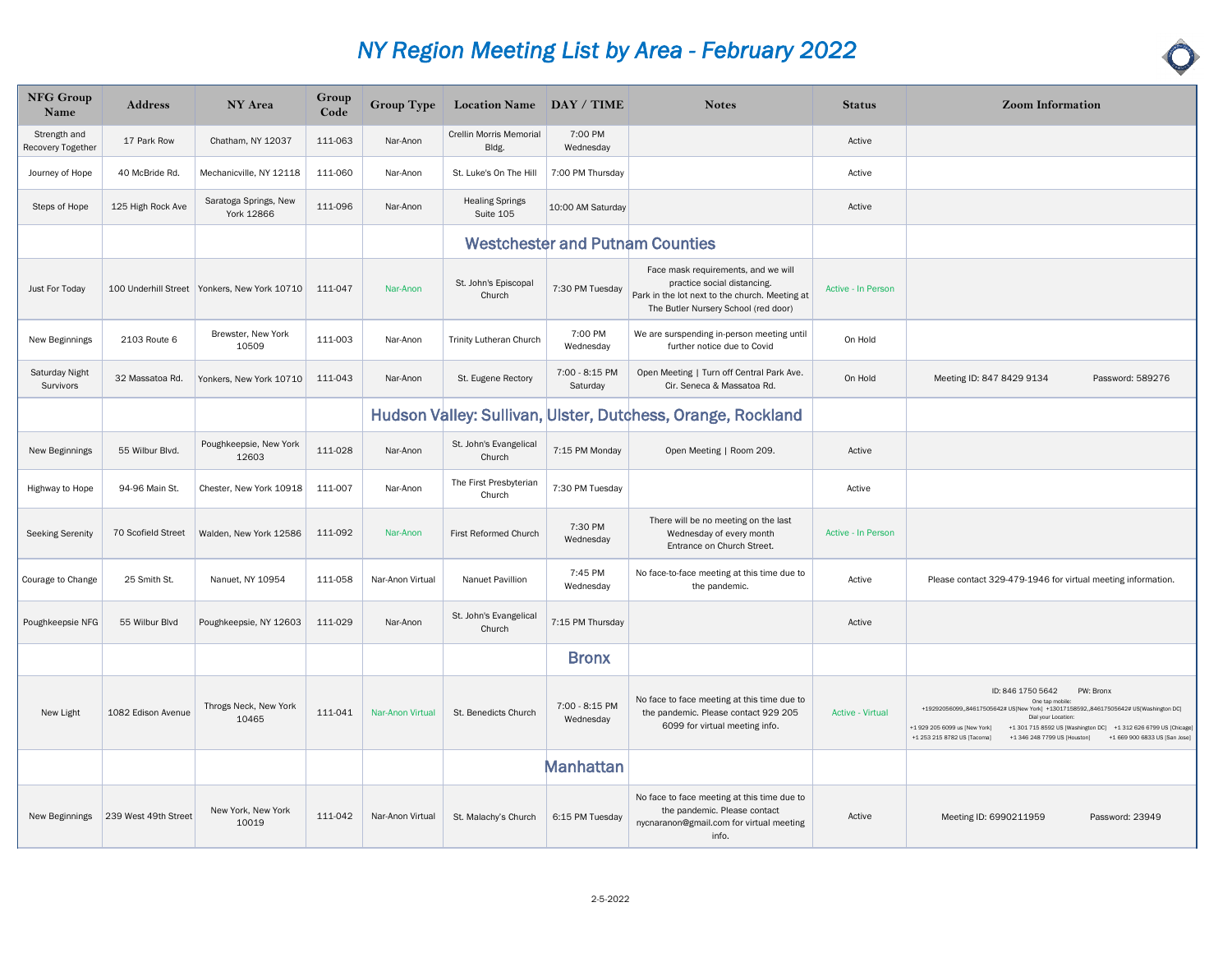| <b>NFG Group</b><br>Name          | <b>Address</b>       | NY Area                                        | Group<br>Code | <b>Group Type</b> | Location Name DAY / TIME            |                             | <b>Notes</b>                                                                                                                                                 | <b>Status</b>             | <b>Zoom Information</b>                                                                                                                                                                                                                                                                                                                                            |
|-----------------------------------|----------------------|------------------------------------------------|---------------|-------------------|-------------------------------------|-----------------------------|--------------------------------------------------------------------------------------------------------------------------------------------------------------|---------------------------|--------------------------------------------------------------------------------------------------------------------------------------------------------------------------------------------------------------------------------------------------------------------------------------------------------------------------------------------------------------------|
| Strength and<br>Recovery Together | 17 Park Row          | Chatham, NY 12037                              | 111-063       | Nar-Anon          | Crellin Morris Memorial<br>Bldg.    | 7:00 PM<br>Wednesday        |                                                                                                                                                              | Active                    |                                                                                                                                                                                                                                                                                                                                                                    |
| Journey of Hope                   | 40 McBride Rd.       | Mechanicville, NY 12118                        | 111-060       | Nar-Anon          | St. Luke's On The Hill              | 7:00 PM Thursday            |                                                                                                                                                              | Active                    |                                                                                                                                                                                                                                                                                                                                                                    |
| Steps of Hope                     | 125 High Rock Ave    | Saratoga Springs, New<br>York 12866            | 111-096       | Nar-Anon          | <b>Healing Springs</b><br>Suite 105 | 10:00 AM Saturday           |                                                                                                                                                              | Active                    |                                                                                                                                                                                                                                                                                                                                                                    |
|                                   |                      |                                                |               |                   |                                     |                             | <b>Westchester and Putnam Counties</b>                                                                                                                       |                           |                                                                                                                                                                                                                                                                                                                                                                    |
| Just For Today                    |                      | 100 Underhill Street   Yonkers, New York 10710 | 111-047       | Nar-Anon          | St. John's Episcopal<br>Church      | 7:30 PM Tuesday             | Face mask requirements, and we will<br>practice social distancing.<br>Park in the lot next to the church. Meeting at<br>The Butler Nursery School (red door) | Active - In Person        |                                                                                                                                                                                                                                                                                                                                                                    |
| New Beginnings                    | 2103 Route 6         | Brewster, New York<br>10509                    | 111-003       | Nar-Anon          | <b>Trinity Lutheran Church</b>      | 7:00 PM<br>Wednesday        | We are surspending in-person meeting until<br>further notice due to Covid                                                                                    | On Hold                   |                                                                                                                                                                                                                                                                                                                                                                    |
| Saturday Night<br>Survivors       | 32 Massatoa Rd.      | Yonkers, New York 10710                        | 111-043       | Nar-Anon          | St. Eugene Rectory                  | 7:00 - 8:15 PM<br>Saturday  | Open Meeting   Turn off Central Park Ave.<br>Cir. Seneca & Massatoa Rd.                                                                                      | On Hold                   | Meeting ID: 847 8429 9134<br>Password: 589276                                                                                                                                                                                                                                                                                                                      |
|                                   |                      |                                                |               |                   |                                     |                             | Hudson Valley: Sullivan, Ulster, Dutchess, Orange, Rockland                                                                                                  |                           |                                                                                                                                                                                                                                                                                                                                                                    |
| New Beginnings                    | 55 Wilbur Blvd.      | Poughkeepsie, New York<br>12603                | 111-028       | Nar-Anon          | St. John's Evangelical<br>Church    | 7:15 PM Monday              | Open Meeting   Room 209.                                                                                                                                     | Active                    |                                                                                                                                                                                                                                                                                                                                                                    |
| Highway to Hope                   | 94-96 Main St.       | Chester, New York 10918                        | 111-007       | Nar-Anon          | The First Presbyterian<br>Church    | 7:30 PM Tuesday             |                                                                                                                                                              | Active                    |                                                                                                                                                                                                                                                                                                                                                                    |
| <b>Seeking Serenity</b>           | 70 Scofield Street   | Walden, New York 12586                         | 111-092       | Nar-Anon          | First Reformed Church               | 7:30 PM<br>Wednesday        | There will be no meeting on the last<br>Wednesday of every month<br>Entrance on Church Street.                                                               | <b>Active - In Person</b> |                                                                                                                                                                                                                                                                                                                                                                    |
| Courage to Change                 | 25 Smith St.         | Nanuet, NY 10954                               | 111-058       | Nar-Anon Virtual  | Nanuet Pavillion                    | 7:45 PM<br>Wednesday        | No face-to-face meeting at this time due to<br>the pandemic.                                                                                                 | Active                    | Please contact 329-479-1946 for virtual meeting information.                                                                                                                                                                                                                                                                                                       |
| Poughkeepsie NFG                  | 55 Wilbur Blvd       | Poughkeepsie, NY 12603                         | 111-029       | Nar-Anon          | St. John's Evangelical<br>Church    | 7:15 PM Thursday            |                                                                                                                                                              | Active                    |                                                                                                                                                                                                                                                                                                                                                                    |
|                                   |                      |                                                |               |                   |                                     | <b>Bronx</b>                |                                                                                                                                                              |                           |                                                                                                                                                                                                                                                                                                                                                                    |
| New Light                         | 1082 Edison Avenue   | Throgs Neck, New York<br>10465                 | 111-041       | Nar-Anon Virtual  | St. Benedicts Church                | 7:00 - 8:15 PM<br>Wednesday | No face to face meeting at this time due to<br>the pandemic. Please contact 929 205<br>6099 for virtual meeting info.                                        | <b>Active - Virtual</b>   | ID: 846 1750 5642<br>PW: Bronx<br>One tap mobile<br>+19292056099,,84617505642# US[New York] +13017158592,,84617505642# US[Washington DC]<br>Dial your Location<br>+1 929 205 6099 us [New York]<br>+1 301 715 8592 US [Washington DC] +1 312 626 6799 US [Chicage]<br>+1 253 215 8782 US [Tacoma]<br>+1 346 248 7799 US [Houston]<br>+1 669 900 6833 US [San Jose] |
|                                   |                      |                                                |               |                   |                                     | <b>Manhattan</b>            |                                                                                                                                                              |                           |                                                                                                                                                                                                                                                                                                                                                                    |
| New Beginnings                    | 239 West 49th Street | New York, New York<br>10019                    | 111-042       | Nar-Anon Virtual  | St. Malachy's Church                | 6:15 PM Tuesday             | No face to face meeting at this time due to<br>the pandemic. Please contact<br>nycnaranon@gmail.com for virtual meeting<br>info.                             | Active                    | Meeting ID: 6990211959<br>Password: 23949                                                                                                                                                                                                                                                                                                                          |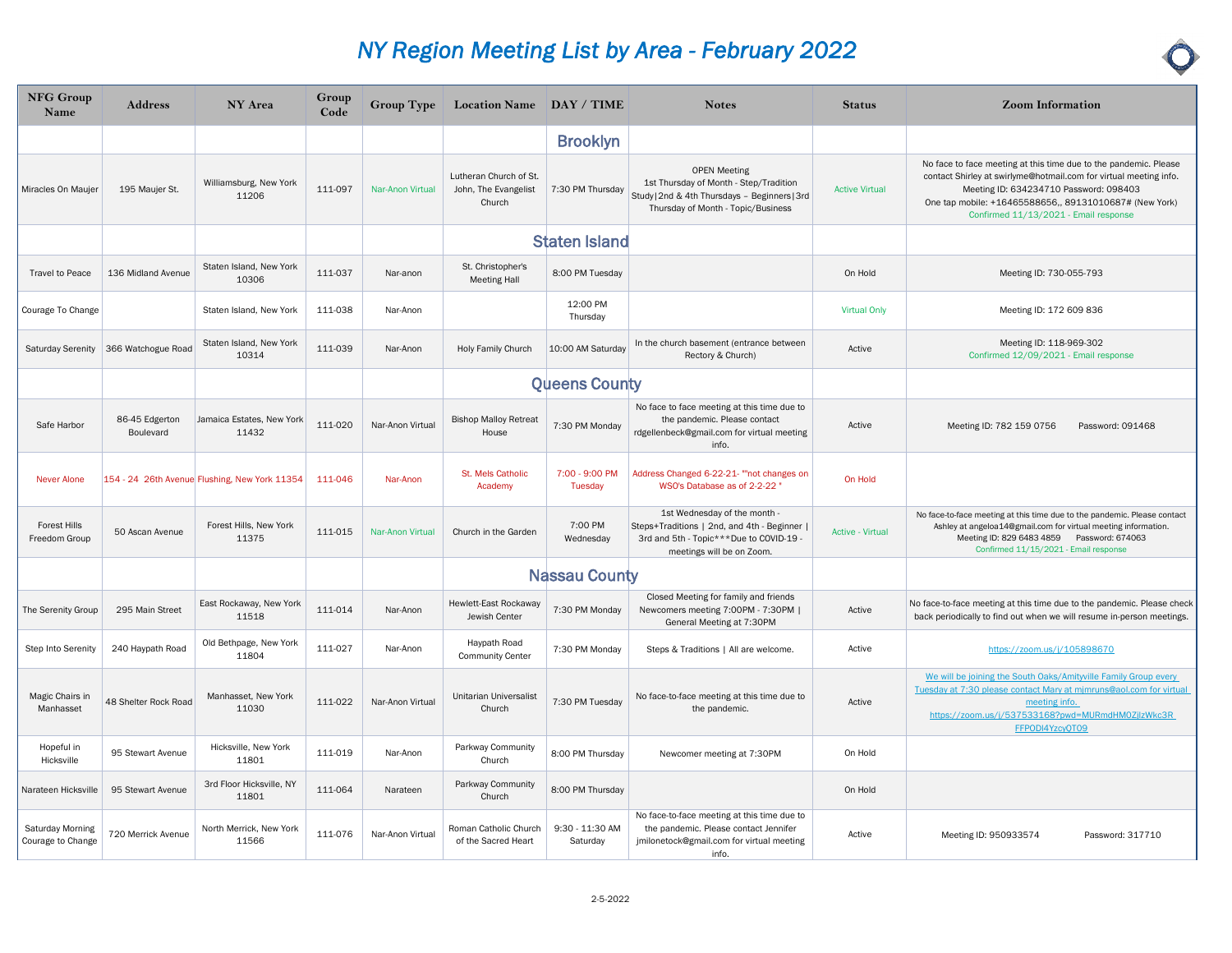| <b>NFG Group</b><br>Name              | <b>Address</b>              | NY Area                                       | Group<br>Code | <b>Group Type</b> | Location Name DAY / TIME                                 |                             | <b>Notes</b>                                                                                                                                         | <b>Status</b>           | <b>Zoom Information</b>                                                                                                                                                                                                                                                            |
|---------------------------------------|-----------------------------|-----------------------------------------------|---------------|-------------------|----------------------------------------------------------|-----------------------------|------------------------------------------------------------------------------------------------------------------------------------------------------|-------------------------|------------------------------------------------------------------------------------------------------------------------------------------------------------------------------------------------------------------------------------------------------------------------------------|
|                                       |                             |                                               |               |                   |                                                          | <b>Brooklyn</b>             |                                                                                                                                                      |                         |                                                                                                                                                                                                                                                                                    |
| Miracles On Maujer                    | 195 Maujer St.              | Williamsburg, New York<br>11206               | 111-097       | Nar-Anon Virtual  | Lutheran Church of St.<br>John, The Evangelist<br>Church | 7:30 PM Thursday            | <b>OPEN Meeting</b><br>1st Thursday of Month - Step/Tradition<br>Study   2nd & 4th Thursdays - Beginners   3rd<br>Thursday of Month - Topic/Business | <b>Active Virtual</b>   | No face to face meeting at this time due to the pandemic. Please<br>contact Shirley at swirlyme@hotmail.com for virtual meeting info.<br>Meeting ID: 634234710 Password: 098403<br>One tap mobile: +16465588656,, 89131010687# (New York)<br>Confirmed 11/13/2021 - Email response |
|                                       |                             |                                               |               |                   |                                                          | <b>Staten Island</b>        |                                                                                                                                                      |                         |                                                                                                                                                                                                                                                                                    |
| <b>Travel to Peace</b>                | 136 Midland Avenue          | Staten Island, New York<br>10306              | 111-037       | Nar-anon          | St. Christopher's<br><b>Meeting Hall</b>                 | 8:00 PM Tuesday             |                                                                                                                                                      | On Hold                 | Meeting ID: 730-055-793                                                                                                                                                                                                                                                            |
| Courage To Change                     |                             | Staten Island, New York                       | 111-038       | Nar-Anon          |                                                          | 12:00 PM<br>Thursday        |                                                                                                                                                      | <b>Virtual Only</b>     | Meeting ID: 172 609 836                                                                                                                                                                                                                                                            |
| Saturday Serenity                     | 366 Watchogue Road          | Staten Island, New York<br>10314              | 111-039       | Nar-Anon          | Holy Family Church                                       | 10:00 AM Saturday           | In the church basement (entrance between<br>Rectory & Church)                                                                                        | Active                  | Meeting ID: 118-969-302<br>Confirmed 12/09/2021 - Email response                                                                                                                                                                                                                   |
|                                       |                             |                                               |               |                   |                                                          | <b>Queens County</b>        |                                                                                                                                                      |                         |                                                                                                                                                                                                                                                                                    |
| Safe Harbor                           | 86-45 Edgerton<br>Boulevard | Jamaica Estates, New York<br>11432            | 111-020       | Nar-Anon Virtual  | <b>Bishop Malloy Retreat</b><br>House                    | 7:30 PM Monday              | No face to face meeting at this time due to<br>the pandemic. Please contact<br>rdgellenbeck@gmail.com for virtual meeting<br>info.                   | Active                  | Meeting ID: 782 159 0756<br>Password: 091468                                                                                                                                                                                                                                       |
| <b>Never Alone</b>                    |                             | 154 - 24 26th Avenue Flushing, New York 11354 | 111-046       | Nar-Anon          | St. Mels Catholic<br>Academy                             | 7:00 - 9:00 PM<br>Tuesday   | Address Changed 6-22-21- ""not changes on<br>WSO's Database as of 2-2-22                                                                             | On Hold                 |                                                                                                                                                                                                                                                                                    |
| <b>Forest Hills</b><br>Freedom Group  | 50 Ascan Avenue             | Forest Hills, New York<br>11375               | 111-015       | Nar-Anon Virtual  | Church in the Garden                                     | 7:00 PM<br>Wednesday        | 1st Wednesday of the month -<br>Steps+Traditions   2nd, and 4th - Beginner<br>3rd and 5th - Topic***Due to COVID-19 -<br>meetings will be on Zoom.   | <b>Active - Virtual</b> | No face-to-face meeting at this time due to the pandemic. Please contact<br>Ashley at angeloa14@gmail.com for virtual meeting information.<br>Meeting ID: 829 6483 4859 Password: 674063<br>Confirmed 11/15/2021 - Email response                                                  |
|                                       |                             |                                               |               |                   |                                                          | <b>Nassau County</b>        |                                                                                                                                                      |                         |                                                                                                                                                                                                                                                                                    |
| The Serenity Group                    | 295 Main Street             | East Rockaway, New York<br>11518              | 111-014       | Nar-Anon          | Hewlett-East Rockaway<br>Jewish Center                   | 7:30 PM Monday              | Closed Meeting for family and friends<br>Newcomers meeting 7:00PM - 7:30PM  <br>General Meeting at 7:30PM                                            | Active                  | No face-to-face meeting at this time due to the pandemic. Please check<br>back periodically to find out when we will resume in-person meetings.                                                                                                                                    |
| Step Into Serenity                    | 240 Haypath Road            | Old Bethpage, New York<br>11804               | 111-027       | Nar-Anon          | Haypath Road<br><b>Community Center</b>                  | 7:30 PM Monday              | Steps & Traditions   All are welcome.                                                                                                                | Active                  | https://zoom.us/j/105898670                                                                                                                                                                                                                                                        |
| Magic Chairs in<br>Manhasset          | 48 Shelter Rock Road        | Manhasset, New York<br>11030                  | 111-022       | Nar-Anon Virtual  | Unitarian Universalist<br>Church                         | 7:30 PM Tuesday             | No face-to-face meeting at this time due to<br>the pandemic.                                                                                         | Active                  | We will be joining the South Oaks/Amityville Family Group every<br>Tuesday at 7:30 please contact Mary at mimruns@aol.com for virtual<br>meeting info.<br>https://zoom.us/j/537533168?pwd=MURmdHM0ZjlzWkc3R<br>FFPODI4YzcyQT09                                                     |
| Hopeful in<br>Hicksville              | 95 Stewart Avenue           | Hicksville, New York<br>11801                 | 111-019       | Nar-Anon          | Parkway Community<br>Church                              | 8:00 PM Thursday            | Newcomer meeting at 7:30PM                                                                                                                           | On Hold                 |                                                                                                                                                                                                                                                                                    |
| Narateen Hicksville                   | 95 Stewart Avenue           | 3rd Floor Hicksville, NY<br>11801             | 111-064       | Narateen          | Parkway Community<br>Church                              | 8:00 PM Thursday            |                                                                                                                                                      | On Hold                 |                                                                                                                                                                                                                                                                                    |
| Saturday Morning<br>Courage to Change | 720 Merrick Avenue          | North Merrick, New York<br>11566              | 111-076       | Nar-Anon Virtual  | Roman Catholic Church<br>of the Sacred Heart             | 9:30 - 11:30 AM<br>Saturday | No face-to-face meeting at this time due to<br>the pandemic. Please contact Jennifer<br>jmilonetock@gmail.com for virtual meeting<br>info.           | Active                  | Meeting ID: 950933574<br>Password: 317710                                                                                                                                                                                                                                          |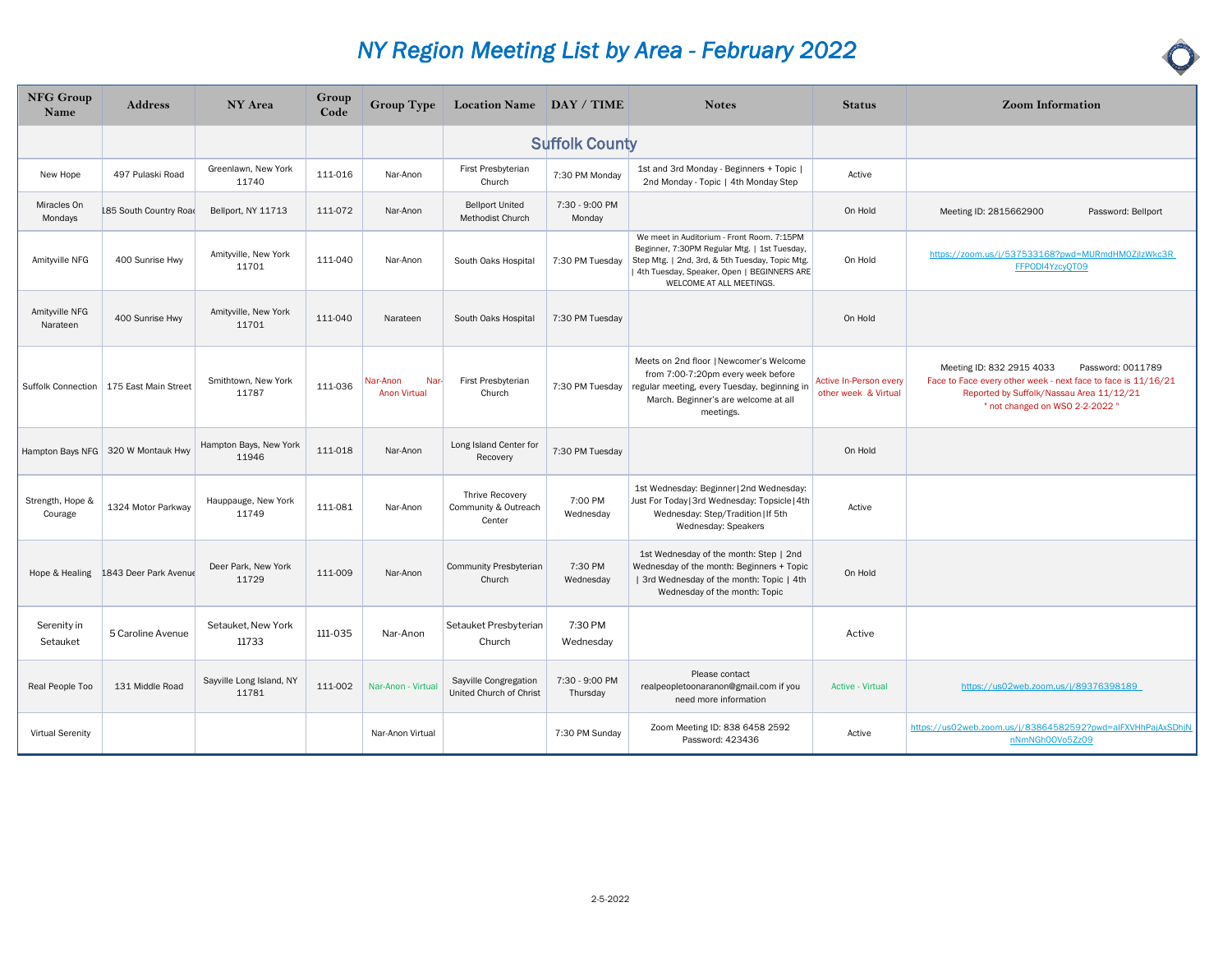| NFG Group<br>Name           | <b>Address</b>                       | NY Area                           | Group<br>Code | <b>Group Type</b>                       | Location Name DAY / TIME                          |                            | <b>Notes</b>                                                                                                                                                                                                            | <b>Status</b>                                  | <b>Zoom Information</b>                                                                                                                                                                      |
|-----------------------------|--------------------------------------|-----------------------------------|---------------|-----------------------------------------|---------------------------------------------------|----------------------------|-------------------------------------------------------------------------------------------------------------------------------------------------------------------------------------------------------------------------|------------------------------------------------|----------------------------------------------------------------------------------------------------------------------------------------------------------------------------------------------|
|                             |                                      |                                   |               |                                         |                                                   | <b>Suffolk County</b>      |                                                                                                                                                                                                                         |                                                |                                                                                                                                                                                              |
| New Hope                    | 497 Pulaski Road                     | Greenlawn, New York<br>11740      | 111-016       | Nar-Anon                                | First Presbyterian<br>Church                      | 7:30 PM Monday             | 1st and 3rd Monday - Beginners + Topic  <br>2nd Monday - Topic   4th Monday Step                                                                                                                                        | Active                                         |                                                                                                                                                                                              |
| Miracles On<br>Mondays      | L85 South Country Road               | Bellport, NY 11713                | 111-072       | Nar-Anon                                | <b>Bellport United</b><br><b>Methodist Church</b> | 7:30 - 9:00 PM<br>Monday   |                                                                                                                                                                                                                         | On Hold                                        | Meeting ID: 2815662900<br>Password: Bellport                                                                                                                                                 |
| Amityville NFG              | 400 Sunrise Hwy                      | Amityville, New York<br>11701     | 111-040       | Nar-Anon                                | South Oaks Hospital                               | 7:30 PM Tuesday            | We meet in Auditorium - Front Room. 7:15PM<br>Beginner, 7:30PM Regular Mtg.   1st Tuesday,<br>Step Mtg.   2nd, 3rd, & 5th Tuesday, Topic Mtg.<br>4th Tuesday, Speaker, Open   BEGINNERS ARE<br>WELCOME AT ALL MEETINGS. | On Hold                                        | https://zoom.us/j/537533168?pwd=MURmdHM0ZjlzWkc3R<br>FFPODI4YzcyQT09                                                                                                                         |
| Amityville NFG<br>Narateen  | 400 Sunrise Hwy                      | Amityville, New York<br>11701     | 111-040       | Narateen                                | South Oaks Hospital                               | 7:30 PM Tuesday            |                                                                                                                                                                                                                         | On Hold                                        |                                                                                                                                                                                              |
| Suffolk Connection          | 175 East Main Street                 | Smithtown, New York<br>11787      | 111-036       | Nar-Anon<br>Nar-<br><b>Anon Virtual</b> | First Presbyterian<br>Church                      | 7:30 PM Tuesday            | Meets on 2nd floor   Newcomer's Welcome<br>from 7:00-7:20pm every week before<br>regular meeting, every Tuesday, beginning in<br>March. Beginner's are welcome at all<br>meetings.                                      | Active In-Person every<br>other week & Virtual | Meeting ID: 832 2915 4033<br>Password: 0011789<br>Face to Face every other week - next face to face is 11/16/21<br>Reported by Suffolk/Nassau Area 11/12/21<br>" not changed on WSO 2-2-2022 |
|                             | Hampton Bays NFG   320 W Montauk Hwy | Hampton Bays, New York<br>11946   | 111-018       | Nar-Anon                                | Long Island Center for<br>Recovery                | 7:30 PM Tuesday            |                                                                                                                                                                                                                         | On Hold                                        |                                                                                                                                                                                              |
| Strength, Hope &<br>Courage | 1324 Motor Parkway                   | Hauppauge, New York<br>11749      | 111-081       | Nar-Anon                                | Thrive Recovery<br>Community & Outreach<br>Center | 7:00 PM<br>Wednesday       | 1st Wednesday: Beginner   2nd Wednesday:<br>Just For Today   3rd Wednesday: Topsicle   4th<br>Wednesday: Step/Tradition   If 5th<br>Wednesday: Speakers                                                                 | Active                                         |                                                                                                                                                                                              |
| Hope & Healing              | 1843 Deer Park Avenue                | Deer Park, New York<br>11729      | 111-009       | Nar-Anon                                | Community Presbyterian<br>Church                  | 7:30 PM<br>Wednesday       | 1st Wednesday of the month: Step   2nd<br>Wednesday of the month: Beginners + Topic<br>  3rd Wednesday of the month: Topic   4th<br>Wednesday of the month: Topic                                                       | On Hold                                        |                                                                                                                                                                                              |
| Serenity in<br>Setauket     | 5 Caroline Avenue                    | Setauket, New York<br>11733       | 111-035       | Nar-Anon                                | Setauket Presbyterian<br>Church                   | 7:30 PM<br>Wednesday       |                                                                                                                                                                                                                         | Active                                         |                                                                                                                                                                                              |
| Real People Too             | 131 Middle Road                      | Sayville Long Island, NY<br>11781 | 111-002       | Nar-Anon - Virtual                      | Sayville Congregation<br>United Church of Christ  | 7:30 - 9:00 PM<br>Thursday | Please contact<br>realpeopletoonaranon@gmail.com if you<br>need more information                                                                                                                                        | <b>Active - Virtual</b>                        | https://us02web.zoom.us/j/89376398189                                                                                                                                                        |
| Virtual Serenity            |                                      |                                   |               | Nar-Anon Virtual                        |                                                   | 7:30 PM Sunday             | Zoom Meeting ID: 838 6458 2592<br>Password: 423436                                                                                                                                                                      | Active                                         | https://us02web.zoom.us/j/83864582592?pwd=alFXVHhPajAxSDhjN<br>nNmNGh00Vo5Zz09                                                                                                               |